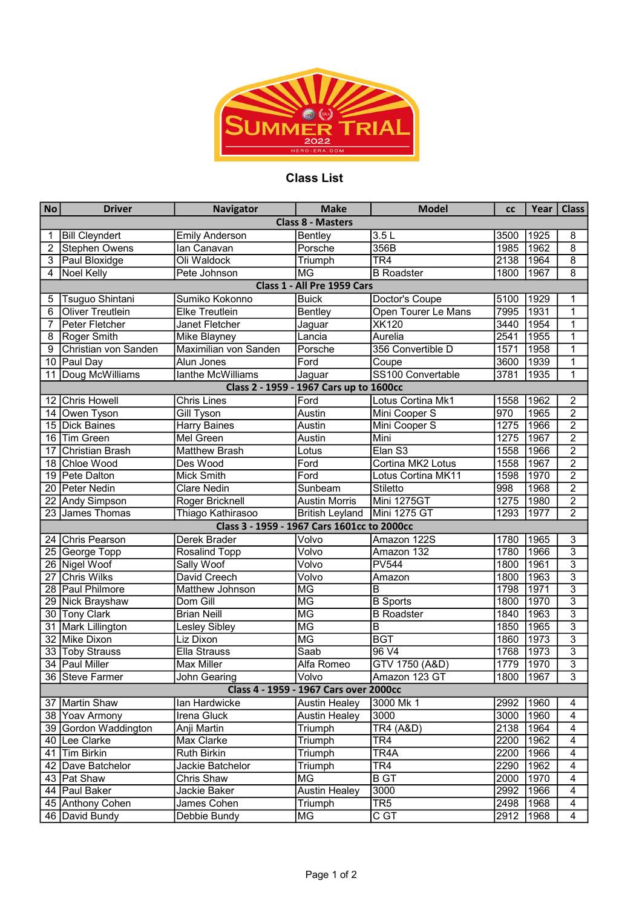

## Class List

| <b>No</b>                               | <b>Driver</b>           | <b>Navigator</b>                            | <b>Make</b>                            | <b>Model</b>         | <b>CC</b> | Year | <b>Class</b>              |  |  |  |  |  |
|-----------------------------------------|-------------------------|---------------------------------------------|----------------------------------------|----------------------|-----------|------|---------------------------|--|--|--|--|--|
| <b>Class 8 - Masters</b>                |                         |                                             |                                        |                      |           |      |                           |  |  |  |  |  |
| 1                                       | <b>Bill Cleyndert</b>   | <b>Emily Anderson</b>                       | <b>Bentley</b>                         | 3.5L                 | 3500      | 1925 | 8                         |  |  |  |  |  |
| 2                                       | <b>Stephen Owens</b>    | Ian Canavan                                 | Porsche                                | 356B                 | 1985      | 1962 | $\overline{8}$            |  |  |  |  |  |
| 3                                       | Paul Bloxidge           | Oli Waldock                                 | Triumph                                | TR <sub>4</sub>      | 2138      | 1964 | 8                         |  |  |  |  |  |
| 4                                       | Noel Kelly              | Pete Johnson                                | <b>MG</b>                              | <b>B</b> Roadster    | 1800      | 1967 | 8                         |  |  |  |  |  |
| Class 1 - All Pre 1959 Cars             |                         |                                             |                                        |                      |           |      |                           |  |  |  |  |  |
| 5                                       | Tsuguo Shintani         | Sumiko Kokonno                              | <b>Buick</b>                           | Doctor's Coupe       | 5100      | 1929 | 1                         |  |  |  |  |  |
| 6                                       | <b>Oliver Treutlein</b> | <b>Elke Treutlein</b>                       | <b>Bentley</b>                         | Open Tourer Le Mans  | 7995      | 1931 | 1                         |  |  |  |  |  |
| 7                                       | Peter Fletcher          | Janet Fletcher                              | Jaguar                                 | <b>XK120</b>         | 3440      | 1954 | 1                         |  |  |  |  |  |
| 8                                       | Roger Smith             | Mike Blayney                                | Lancia                                 | Aurelia              | 2541      | 1955 | 1                         |  |  |  |  |  |
| 9                                       | Christian von Sanden    | Maximilian von Sanden                       | Porsche                                | 356 Convertible D    | 1571      | 1958 | 1                         |  |  |  |  |  |
| 10                                      | Paul Day                | Alun Jones                                  | Ford                                   | $\overline{C}$ oupe  | 3600      | 1939 | 1                         |  |  |  |  |  |
| 11                                      | Doug McWilliams         | lanthe McWilliams                           | Jaguar                                 | SS100 Convertable    | 3781      | 1935 | 1                         |  |  |  |  |  |
| Class 2 - 1959 - 1967 Cars up to 1600cc |                         |                                             |                                        |                      |           |      |                           |  |  |  |  |  |
| 12                                      | <b>Chris Howell</b>     | <b>Chris Lines</b>                          | Ford                                   | Lotus Cortina Mk1    | 1558      | 1962 | $\overline{2}$            |  |  |  |  |  |
| 14                                      | Owen Tyson              | Gill Tyson                                  | Austin                                 | Mini Cooper S        | 970       | 1965 | $\overline{2}$            |  |  |  |  |  |
| 15                                      | <b>Dick Baines</b>      | <b>Harry Baines</b>                         | Austin                                 | Mini Cooper S        | 1275      | 1966 | $\overline{2}$            |  |  |  |  |  |
| 16                                      | Tim Green               | Mel Green                                   | Austin                                 | Mini                 | 1275      | 1967 | $\overline{2}$            |  |  |  |  |  |
| 17                                      | Christian Brash         | <b>Matthew Brash</b>                        | Lotus                                  | Elan S3              | 1558      | 1966 | $\overline{2}$            |  |  |  |  |  |
| 18                                      | Chloe Wood              | Des Wood                                    | Ford                                   | Cortina MK2 Lotus    | 1558      | 1967 | $\overline{2}$            |  |  |  |  |  |
| 19                                      | Pete Dalton             | Mick Smith                                  | Ford                                   | Lotus Cortina MK11   | 1598      | 1970 | $\overline{2}$            |  |  |  |  |  |
| 20                                      | Peter Nedin             | <b>Clare Nedin</b>                          | Sunbeam                                | Stiletto             | 998       | 1968 | $\overline{2}$            |  |  |  |  |  |
| 22                                      | Andy Simpson            | Roger Bricknell                             | <b>Austin Morris</b>                   | <b>Mini 1275GT</b>   | 1275      | 1980 | $\overline{2}$            |  |  |  |  |  |
|                                         | 23 James Thomas         | Thiago Kathirasoo                           | <b>British Leyland</b>                 | Mini 1275 GT         | 1293      | 1977 | $\overline{2}$            |  |  |  |  |  |
|                                         |                         | Class 3 - 1959 - 1967 Cars 1601cc to 2000cc |                                        |                      |           |      |                           |  |  |  |  |  |
| 24                                      | Chris Pearson           | Derek Brader                                | Volvo                                  | Amazon 122S          | 1780      | 1965 | 3                         |  |  |  |  |  |
| 25                                      | George Topp             | Rosalind Topp                               | Volvo                                  | Amazon 132           | 1780      | 1966 | $\overline{\overline{3}}$ |  |  |  |  |  |
| 26                                      | Nigel Woof              | <b>Sally Woof</b>                           | Volvo                                  | <b>PV544</b>         | 1800      | 1961 | $\overline{\overline{3}}$ |  |  |  |  |  |
| 27                                      | <b>Chris Wilks</b>      | David Creech                                | Volvo                                  | Amazon               | 1800      | 1963 | $\overline{\mathbf{3}}$   |  |  |  |  |  |
| 28                                      | <b>Paul Philmore</b>    | <b>Matthew Johnson</b>                      | <b>MG</b>                              | $\overline{B}$       | 1798      | 1971 | $\overline{3}$            |  |  |  |  |  |
| 29                                      | <b>Nick Brayshaw</b>    | Dom Gill                                    | <b>MG</b>                              | <b>B</b> Sports      | 1800      | 1970 | $\overline{\overline{3}}$ |  |  |  |  |  |
| 30                                      | <b>Tony Clark</b>       | <b>Brian Neill</b>                          | <b>MG</b>                              | <b>B</b> Roadster    | 1840      | 1963 | $\overline{3}$            |  |  |  |  |  |
| 31                                      | Mark Lillington         | Lesley Sibley                               | <b>MG</b>                              | $\overline{B}$       | 1850      | 1965 | $\overline{\overline{3}}$ |  |  |  |  |  |
| 32                                      | Mike Dixon              | Liz Dixon                                   | <b>MG</b>                              | <b>BGT</b>           | 1860      | 1973 | $\overline{\overline{3}}$ |  |  |  |  |  |
|                                         | 33 Toby Strauss         | Ella Strauss                                | $\overline{S$ aab                      | 96 V4                | 1768      | 1973 | $\overline{\overline{3}}$ |  |  |  |  |  |
| 34                                      | Paul Miller             | <b>Max Miller</b>                           | Alfa Romeo                             | GTV 1750 (A&D)       | 1779      | 1970 | $\overline{3}$            |  |  |  |  |  |
| 36                                      | Steve Farmer            | John Gearing                                | Volvo                                  | Amazon 123 GT        | 1800      | 1967 | $\overline{\overline{3}}$ |  |  |  |  |  |
|                                         |                         |                                             | Class 4 - 1959 - 1967 Cars over 2000cc |                      |           |      |                           |  |  |  |  |  |
| 37                                      | Martin Shaw             | lan Hardwicke                               | <b>Austin Healey</b>                   | 3000 Mk 1            | 2992      | 1960 | 4                         |  |  |  |  |  |
|                                         | 38 Yoav Armony          | Irena Gluck                                 | <b>Austin Healey</b>                   | 3000                 | 3000      | 1960 | 4                         |  |  |  |  |  |
|                                         | 39 Gordon Waddington    | Anji Martin                                 | Triumph                                | <b>TR4 (A&amp;D)</b> | 2138      | 1964 | $\overline{\mathbf{4}}$   |  |  |  |  |  |
| 40                                      | Lee Clarke              | Max Clarke                                  | Triumph                                | TR <sub>4</sub>      | 2200      | 1962 | $\overline{4}$            |  |  |  |  |  |
| 41                                      | Tim Birkin              | Ruth Birkin                                 | Triumph                                | TR4A                 | 2200      | 1966 | $\overline{\mathbf{4}}$   |  |  |  |  |  |
| 42                                      | Dave Batchelor          | Jackie Batchelor                            | Triumph                                | TR <sub>4</sub>      | 2290      | 1962 | 4                         |  |  |  |  |  |
|                                         | 43   Pat Shaw           | Chris Shaw                                  | MG                                     | <b>B</b> GT          | 2000      | 1970 | 4                         |  |  |  |  |  |
|                                         | 44 Paul Baker           | Jackie Baker                                | <b>Austin Healey</b>                   | 3000                 | 2992      | 1966 | 4                         |  |  |  |  |  |
| 45                                      | Anthony Cohen           | James Cohen                                 | Triumph                                | TR <sub>5</sub>      | 2498      | 1968 | 4                         |  |  |  |  |  |
|                                         | 46   David Bundy        | Debbie Bundy                                | MG                                     | C GT                 | 2912      | 1968 | 4                         |  |  |  |  |  |